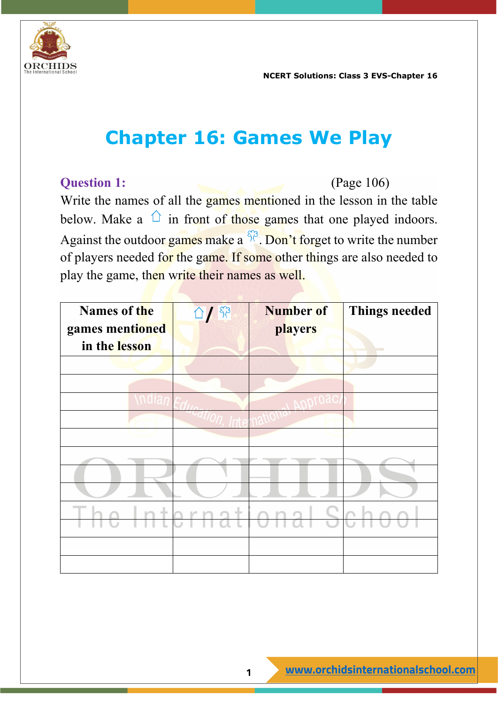

# **Chapter 16: Games We Play**

#### **Question 1:** (Page 106)

Write the names of all the games mentioned in the lesson in the table below. Make a  $\hat{p}$  in front of those games that one played indoors. Against the outdoor games make a  $\frac{\delta \beta}{\delta}$ . Don't forget to write the number of players needed for the game. If some other things are also needed to play the game, then write their names as well.

| Names of the    | 1153 | <b>Number of</b> | <b>Things needed</b> |
|-----------------|------|------------------|----------------------|
| games mentioned |      | players          |                      |
| in the lesson   |      |                  |                      |
|                 |      |                  |                      |
|                 |      |                  |                      |
|                 |      |                  |                      |
|                 |      |                  |                      |
|                 |      |                  |                      |
|                 |      |                  |                      |
|                 |      |                  |                      |
|                 |      |                  |                      |
|                 | ÷    |                  |                      |
|                 |      |                  |                      |
|                 |      |                  |                      |
|                 |      |                  |                      |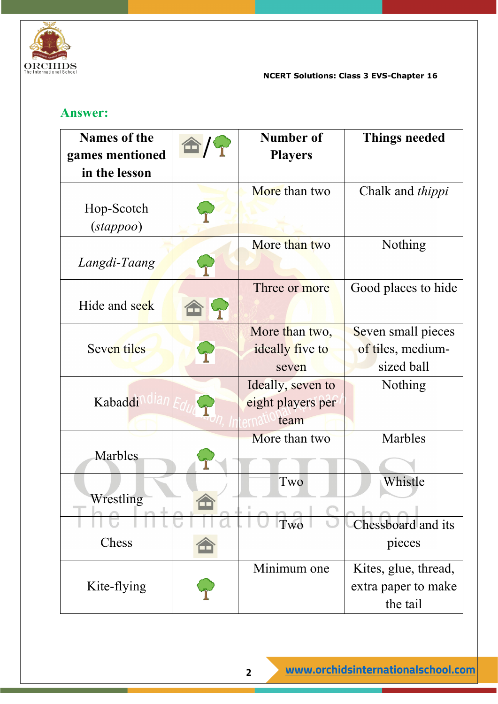

#### **Answer:**

| <b>Names of the</b>               | <b>Number of</b>  | <b>Things needed</b>    |
|-----------------------------------|-------------------|-------------------------|
| games mentioned<br>in the lesson  | <b>Players</b>    |                         |
|                                   | More than two     |                         |
|                                   |                   | Chalk and <i>thippi</i> |
| Hop-Scotch<br>$(s \text{tappoo})$ |                   |                         |
|                                   | More than two     | Nothing                 |
| Langdi-Taang                      |                   |                         |
|                                   | Three or more     | Good places to hide     |
| Hide and seek                     |                   |                         |
|                                   | More than two,    | Seven small pieces      |
| Seven tiles                       | ideally five to   | of tiles, medium-       |
|                                   | seven             | sized ball              |
|                                   | Ideally, seven to | Nothing                 |
| Kabaddi                           | eight players per |                         |
|                                   | team              |                         |
|                                   | More than two     | Marbles                 |
| Marbles                           |                   |                         |
|                                   | Two               | Whistle                 |
| Wrestling                         |                   |                         |
|                                   | Two               | Chessboard and its      |
| Chess                             |                   | pieces                  |
|                                   | Minimum one       | Kites, glue, thread,    |
| Kite-flying                       |                   | extra paper to make     |
|                                   |                   | the tail                |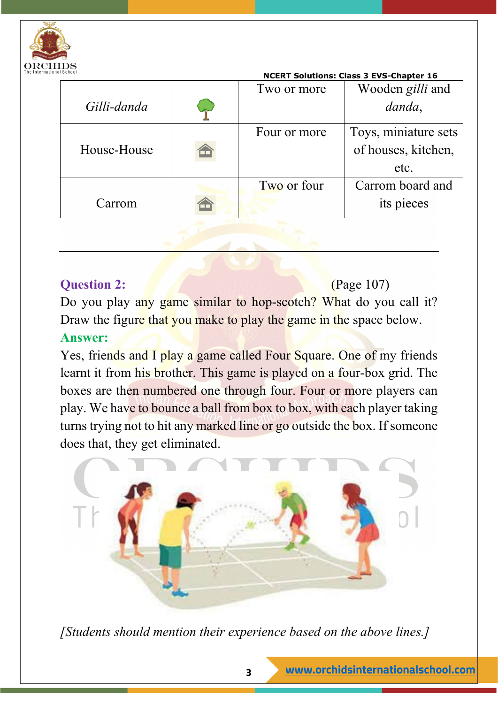

|             |              | <b>NCERT Solutions: Class 3 EVS-Chapter 16</b> |
|-------------|--------------|------------------------------------------------|
|             | Two or more  | Wooden gilli and                               |
| Gilli-danda |              | danda,                                         |
|             | Four or more | Toys, miniature sets                           |
| House-House |              | of houses, kitchen,                            |
|             |              | etc.                                           |
|             | Two or four  | Carrom board and                               |
| Carrom      |              | its pieces                                     |
|             |              |                                                |

#### **Question 2:** (Page 107)

Do you play any game similar to hop-scotch? What do you call it? Draw the figure that you make to play the game in the space below. **Answer:**

Yes, friends and I play a game called Four Square. One of my friends learnt it from his brother. This game is played on a four-box grid. The boxes are then numbered one through four. Four or more players can play. We have to bounce a ball from box to box, with each player taking turns trying not to hit any marked line or go outside the box. If someone does that, they get eliminated.



*[Students should mention their experience based on the above lines.]*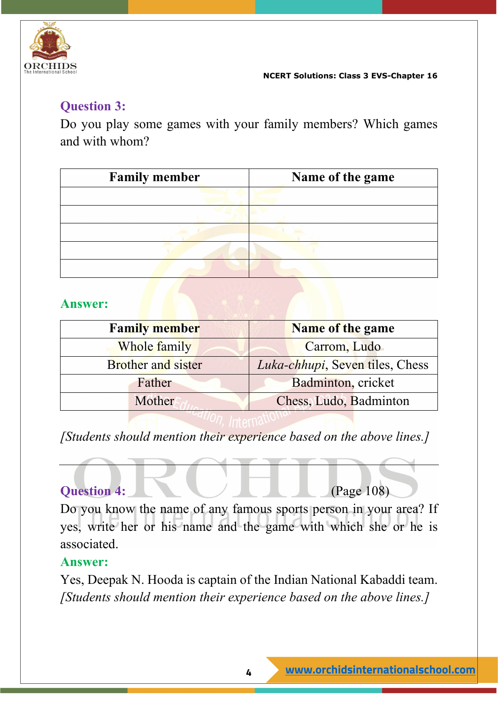

# **Question 3:**

Do you play some games with your family members? Which games and with whom?

| <b>Family member</b> | Name of the game |
|----------------------|------------------|
|                      |                  |
|                      |                  |
|                      |                  |
|                      |                  |
|                      |                  |

## **Answer:**

| <b>Family member</b>      | <b>Name of the game</b>         |  |
|---------------------------|---------------------------------|--|
| Whole family              | Carrom, Ludo                    |  |
| <b>Brother and sister</b> | Luka-chhupi, Seven tiles, Chess |  |
| Father                    | Badminton, cricket              |  |
| Mother!                   | Chess, Ludo, Badminton          |  |
|                           |                                 |  |

*[Students should mention their experience based on the above lines.]*

#### **Question 4:** (Page 108)

Do you know the name of any famous sports person in your area? If yes, write her or his name and the game with which she or he is associated.

#### **Answer:**

Yes, Deepak N. Hooda is captain of the Indian National Kabaddi team. *[Students should mention their experience based on the above lines.]*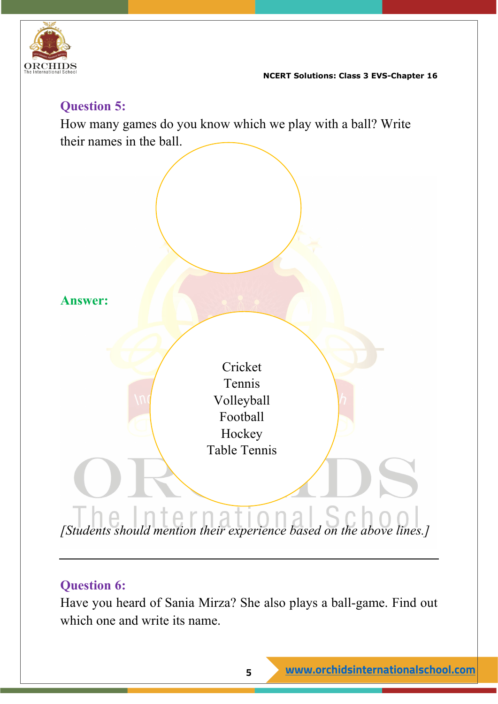

## **Question 5:**

How many games do you know which we play with a ball? Write their names in the ball.



## **Question 6:**

Have you heard of Sania Mirza? She also plays a ball-game. Find out which one and write its name.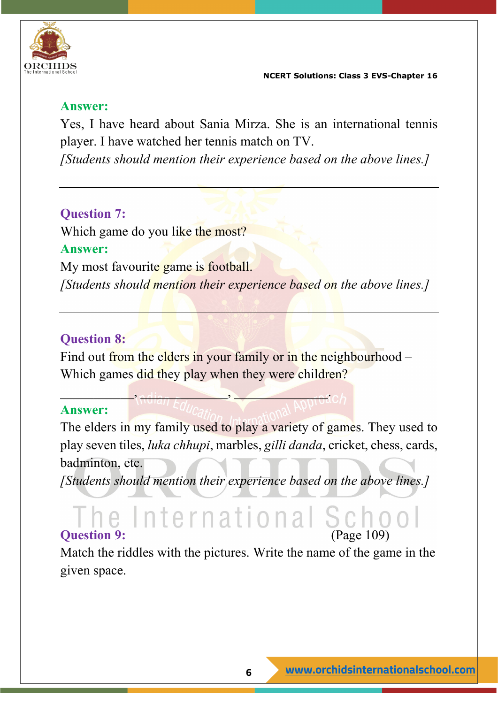

#### **Answer:**

Yes, I have heard about Sania Mirza. She is an international tennis player. I have watched her tennis match on TV.

*[Students should mention their experience based on the above lines.]*

#### **Question 7:**

Which game do you like the most? **Answer:** My most favourite game is football. *[Students should mention their experience based on the above lines.]*

#### **Question 8:**

Find out from the elders in your family or in the neighbourhood – Which games did they play when they were children?

\_\_\_\_\_\_\_\_\_\_\_, \_\_\_\_\_\_\_\_\_\_\_\_\_, \_\_\_\_\_\_\_\_\_\_\_\_\_\_.

#### **Answer:**

The elders in my family used to play a variety of games. They used to play seven tiles, *luka chhupi*, marbles, *gilli danda*, cricket, chess, cards, badminton, etc.

*[Students should mention their experience based on the above lines.]*

## **Question 9:** (Page 109)

Match the riddles with the pictures. Write the name of the game in the given space.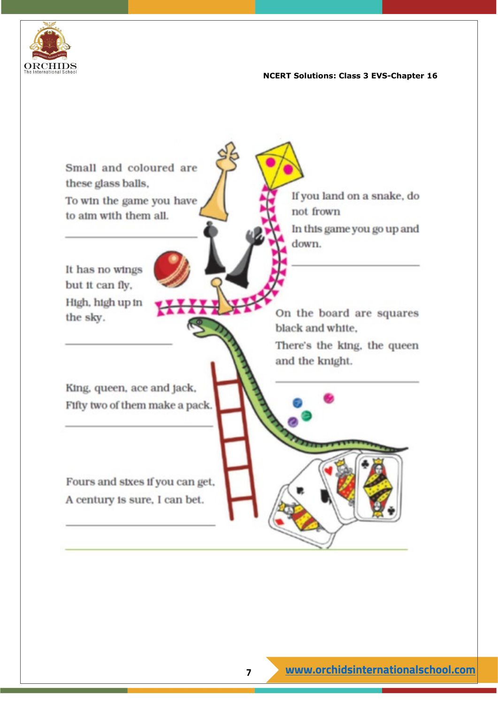

Small and coloured are these glass balls. If you land on a snake, do To win the game you have not frown to aim with them all. In this game you go up and down. It has no wings but it can fly. High, high up in On the board are squares the sky. black and white. There's the king, the queen and the knight. King, queen, ace and jack, Fifty two of them make a pack. Fours and sixes if you can get, A century is sure, I can bet.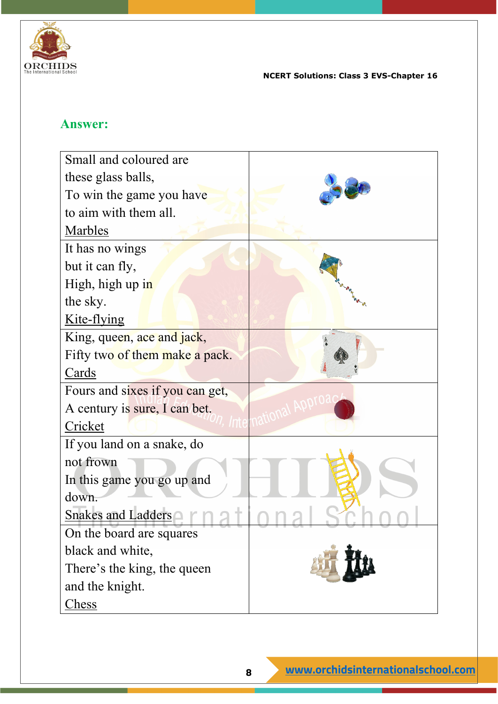

#### **Answer:**

| Small and coloured are          |  |
|---------------------------------|--|
| these glass balls,              |  |
| To win the game you have        |  |
| to aim with them all.           |  |
| Marbles                         |  |
| It has no wings                 |  |
| but it can fly,                 |  |
| High, high up in                |  |
| the sky.                        |  |
| Kite-flying                     |  |
| King, queen, ace and jack,      |  |
| Fifty two of them make a pack.  |  |
| Cards                           |  |
| Fours and sixes if you can get, |  |
| A century is sure, I can bet.   |  |
| Cricket                         |  |
| If you land on a snake, do      |  |
| not frown                       |  |
| In this game you go up and      |  |
| down.                           |  |
| <b>Snakes and Ladders</b>       |  |
| On the board are squares        |  |
| black and white,                |  |
| There's the king, the queen     |  |
| and the knight.                 |  |
| <u>Chess</u>                    |  |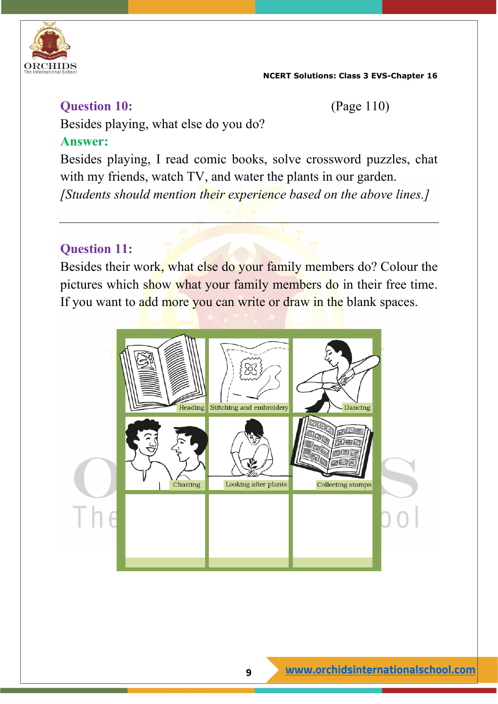

#### **Question 10:** (Page 110)

Besides playing, what else do you do?

#### **Answer:**

Besides playing, I read comic books, solve crossword puzzles, chat with my friends, watch TV, and water the plants in our garden. *[Students should mention their experience based on the above lines.]*

## **Question 11:**

Besides their work, what else do your family members do? Colour the pictures which show what your family members do in their free time. If you want to add more you can write or draw in the blank spaces.